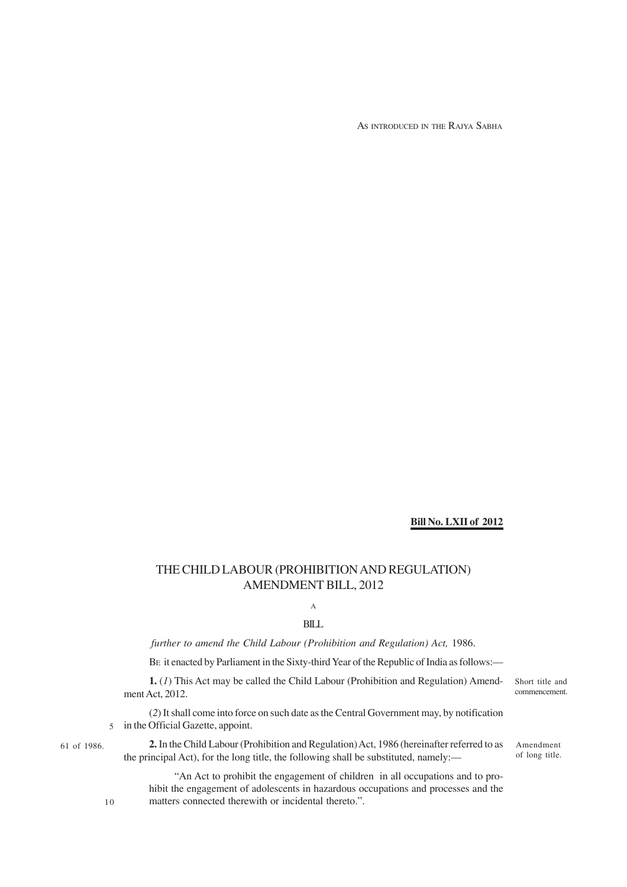AS INTRODUCED IN THE RAJYA SABHA

## **Bill No. LXII of 2012**

# THE CHILD LABOUR (PROHIBITION AND REGULATION) AMENDMENT BILL, 2012

A BILL

*further to amend the Child Labour (Prohibition and Regulation) Act,* 1986.

BE it enacted by Parliament in the Sixty-third Year of the Republic of India as follows:—

**1.** (*1*) This Act may be called the Child Labour (Prohibition and Regulation) Amendment Act, 2012.

(*2*) It shall come into force on such date as the Central Government may, by notification 5 in the Official Gazette, appoint.

61 of 1986.

**2.** In the Child Labour (Prohibition and Regulation) Act, 1986 (hereinafter referred to as the principal Act), for the long title, the following shall be substituted, namely:—

Amendment of long title.

Short title and commencement.

"An Act to prohibit the engagement of children in all occupations and to prohibit the engagement of adolescents in hazardous occupations and processes and the matters connected therewith or incidental thereto.".

10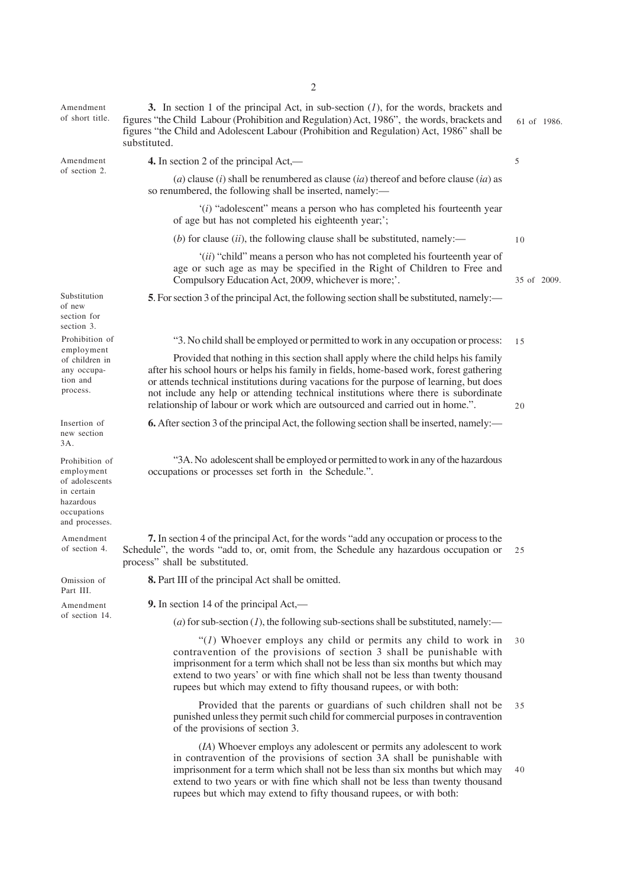| Amendment<br>of short title.                                                                               | 3. In section 1 of the principal Act, in sub-section $(1)$ , for the words, brackets and<br>figures "the Child Labour (Prohibition and Regulation) Act, 1986", the words, brackets and<br>figures "the Child and Adolescent Labour (Prohibition and Regulation) Act, 1986" shall be<br>substituted.                                                                                                                                                |             |  |  |  |
|------------------------------------------------------------------------------------------------------------|----------------------------------------------------------------------------------------------------------------------------------------------------------------------------------------------------------------------------------------------------------------------------------------------------------------------------------------------------------------------------------------------------------------------------------------------------|-------------|--|--|--|
| Amendment<br>of section 2.                                                                                 | 4. In section 2 of the principal Act,—                                                                                                                                                                                                                                                                                                                                                                                                             |             |  |  |  |
|                                                                                                            | (a) clause (i) shall be renumbered as clause (ia) thereof and before clause (ia) as<br>so renumbered, the following shall be inserted, namely:-                                                                                                                                                                                                                                                                                                    |             |  |  |  |
|                                                                                                            | $'(i)$ "adolescent" means a person who has completed his fourteenth year<br>of age but has not completed his eighteenth year;';                                                                                                                                                                                                                                                                                                                    |             |  |  |  |
|                                                                                                            | (b) for clause $(ii)$ , the following clause shall be substituted, namely:—                                                                                                                                                                                                                                                                                                                                                                        |             |  |  |  |
|                                                                                                            | "(ii) "child" means a person who has not completed his fourteenth year of<br>age or such age as may be specified in the Right of Children to Free and<br>Compulsory Education Act, 2009, whichever is more;'.                                                                                                                                                                                                                                      | 35 of 2009. |  |  |  |
| Substitution<br>of new<br>section for<br>section 3.                                                        | 5. For section 3 of the principal Act, the following section shall be substituted, namely:—                                                                                                                                                                                                                                                                                                                                                        |             |  |  |  |
| Prohibition of<br>employment<br>of children in<br>any occupa-<br>tion and<br>process.                      | "3. No child shall be employed or permitted to work in any occupation or process:                                                                                                                                                                                                                                                                                                                                                                  | 15          |  |  |  |
|                                                                                                            | Provided that nothing in this section shall apply where the child helps his family<br>after his school hours or helps his family in fields, home-based work, forest gathering<br>or attends technical institutions during vacations for the purpose of learning, but does<br>not include any help or attending technical institutions where there is subordinate<br>relationship of labour or work which are outsourced and carried out in home.". |             |  |  |  |
| Insertion of<br>new section<br>3A.                                                                         | <b>6.</b> After section 3 of the principal Act, the following section shall be inserted, namely:—                                                                                                                                                                                                                                                                                                                                                  |             |  |  |  |
| Prohibition of<br>employment<br>of adolescents<br>in certain<br>hazardous<br>occupations<br>and processes. | "3A. No adolescent shall be employed or permitted to work in any of the hazardous<br>occupations or processes set forth in the Schedule.".                                                                                                                                                                                                                                                                                                         |             |  |  |  |
| Amendment<br>of section 4.                                                                                 | 7. In section 4 of the principal Act, for the words "add any occupation or process to the<br>Schedule", the words "add to, or, omit from, the Schedule any hazardous occupation or<br>process" shall be substituted.                                                                                                                                                                                                                               |             |  |  |  |
| Omission of<br>Part III.                                                                                   | 8. Part III of the principal Act shall be omitted.                                                                                                                                                                                                                                                                                                                                                                                                 |             |  |  |  |
| Amendment<br>of section 14.                                                                                | 9. In section 14 of the principal Act,—                                                                                                                                                                                                                                                                                                                                                                                                            |             |  |  |  |
|                                                                                                            | (a) for sub-section (1), the following sub-sections shall be substituted, namely:—                                                                                                                                                                                                                                                                                                                                                                 |             |  |  |  |
|                                                                                                            | " $(1)$ Whoever employs any child or permits any child to work in<br>contravention of the provisions of section 3 shall be punishable with<br>imprisonment for a term which shall not be less than six months but which may<br>extend to two years' or with fine which shall not be less than twenty thousand<br>rupees but which may extend to fifty thousand rupees, or with both:                                                               |             |  |  |  |
|                                                                                                            | Provided that the parents or guardians of such children shall not be<br>punished unless they permit such child for commercial purposes in contravention<br>of the provisions of section 3.                                                                                                                                                                                                                                                         | 35          |  |  |  |
|                                                                                                            | (IA) Whoever employs any adolescent or permits any adolescent to work<br>in contravention of the provisions of section 3A shall be punishable with<br>imprisonment for a term which shall not be less than six months but which may<br>extend to two years or with fine which shall not be less than twenty thousand<br>rupees but which may extend to fifty thousand rupees, or with both:                                                        | 40          |  |  |  |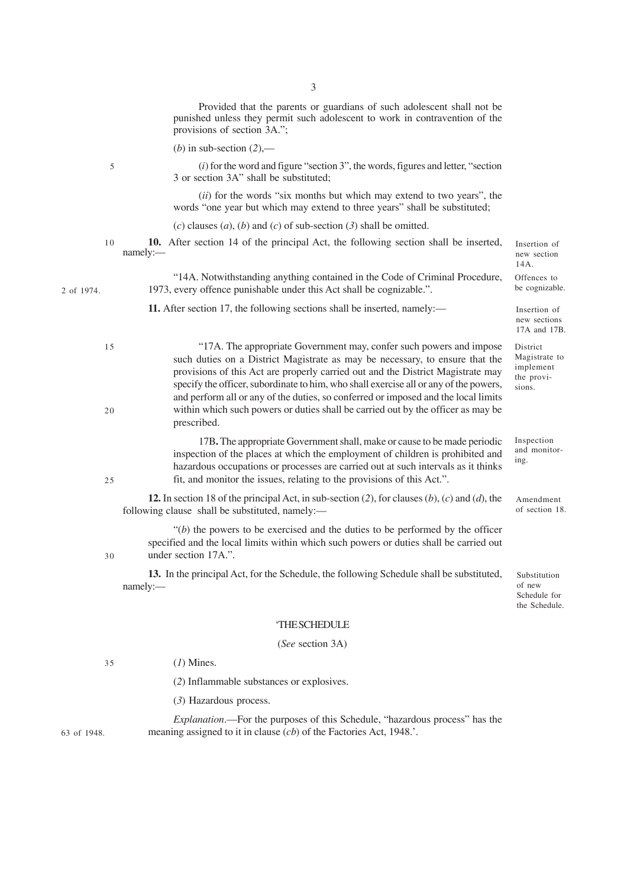Provided that the parents or guardians of such adolescent shall not be punished unless they permit such adolescent to work in contravention of the provisions of section 3A.";

(*b*) in sub-section (*2*),—

(*i*) for the word and figure "section 3", the words, figures and letter, "section 3 or section 3A" shall be substituted;

(*ii*) for the words "six months but which may extend to two years", the words "one year but which may extend to three years" shall be substituted;

(*c*) clauses (*a*), (*b*) and (*c*) of sub-section (*3*) shall be omitted.

**10.** After section 14 of the principal Act, the following section shall be inserted, namely:— Insertion of new section 14A. 10

"14A. Notwithstanding anything contained in the Code of Criminal Procedure, 1973, every offence punishable under this Act shall be cognizable.".

11. After section 17, the following sections shall be inserted, namely:—

- "17A. The appropriate Government may, confer such powers and impose such duties on a District Magistrate as may be necessary, to ensure that the provisions of this Act are properly carried out and the District Magistrate may specify the officer, subordinate to him, who shall exercise all or any of the powers, and perform all or any of the duties, so conferred or imposed and the local limits within which such powers or duties shall be carried out by the officer as may be
- 

 $25$ 

30

20

15

5

prescribed. 17B**.** The appropriate Government shall, make or cause to be made periodic inspection of the places at which the employment of children is prohibited and hazardous occupations or processes are carried out at such intervals as it thinks fit, and monitor the issues, relating to the provisions of this Act.".

**12.** In section 18 of the principal Act, in sub-section (*2*), for clauses (*b*), (*c*) and (*d*), the following clause shall be substituted, namely:—

"(*b*) the powers to be exercised and the duties to be performed by the officer specified and the local limits within which such powers or duties shall be carried out under section 17A.".

**13.** In the principal Act, for the Schedule, the following Schedule shall be substituted, namely:—

Substitution of new Schedule for the Schedule.

Insertion of new sections 17A and 17B. District Magistrate to implement the provisions.

Offences to be cognizable.

Inspection and monitoring.

Amendment of section 18.

#### 'THE SCHEDULE

(*See* section 3A)

(*1*) Mines. 35

(*2*) Inflammable substances or explosives.

(*3*) Hazardous process.

63 of 1948.

*Explanation*.—For the purposes of this Schedule, "hazardous process" has the meaning assigned to it in clause (*cb*) of the Factories Act, 1948.'.

3

2 of 1974.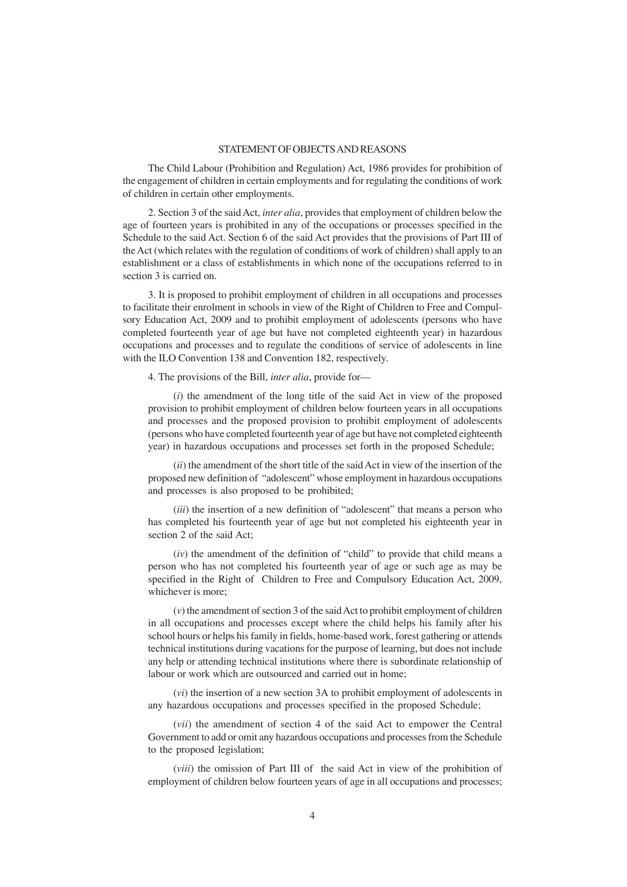### STATEMENT OF OBJECTS AND REASONS

The Child Labour (Prohibition and Regulation) Act, 1986 provides for prohibition of the engagement of children in certain employments and for regulating the conditions of work of children in certain other employments.

2. Section 3 of the said Act, *inter alia*, provides that employment of children below the age of fourteen years is prohibited in any of the occupations or processes specified in the Schedule to the said Act. Section 6 of the said Act provides that the provisions of Part III of the Act (which relates with the regulation of conditions of work of children) shall apply to an establishment or a class of establishments in which none of the occupations referred to in section 3 is carried on.

3. It is proposed to prohibit employment of children in all occupations and processes to facilitate their enrolment in schools in view of the Right of Children to Free and Compulsory Education Act, 2009 and to prohibit employment of adolescents (persons who have completed fourteenth year of age but have not completed eighteenth year) in hazardous occupations and processes and to regulate the conditions of service of adolescents in line with the ILO Convention 138 and Convention 182, respectively.

4. The provisions of the Bill, *inter alia*, provide for—

(*i*) the amendment of the long title of the said Act in view of the proposed provision to prohibit employment of children below fourteen years in all occupations and processes and the proposed provision to prohibit employment of adolescents (persons who have completed fourteenth year of age but have not completed eighteenth year) in hazardous occupations and processes set forth in the proposed Schedule;

(*ii*) the amendment of the short title of the said Act in view of the insertion of the proposed new definition of "adolescent" whose employment in hazardous occupations and processes is also proposed to be prohibited;

(*iii*) the insertion of a new definition of "adolescent" that means a person who has completed his fourteenth year of age but not completed his eighteenth year in section 2 of the said Act;

(*iv*) the amendment of the definition of "child" to provide that child means a person who has not completed his fourteenth year of age or such age as may be specified in the Right of Children to Free and Compulsory Education Act, 2009, whichever is more;

(*v*) the amendment of section 3 of the said Act to prohibit employment of children in all occupations and processes except where the child helps his family after his school hours or helps his family in fields, home-based work, forest gathering or attends technical institutions during vacations for the purpose of learning, but does not include any help or attending technical institutions where there is subordinate relationship of labour or work which are outsourced and carried out in home;

(*vi*) the insertion of a new section 3A to prohibit employment of adolescents in any hazardous occupations and processes specified in the proposed Schedule;

(*vii*) the amendment of section 4 of the said Act to empower the Central Government to add or omit any hazardous occupations and processes from the Schedule to the proposed legislation;

(*viii*) the omission of Part III of the said Act in view of the prohibition of employment of children below fourteen years of age in all occupations and processes;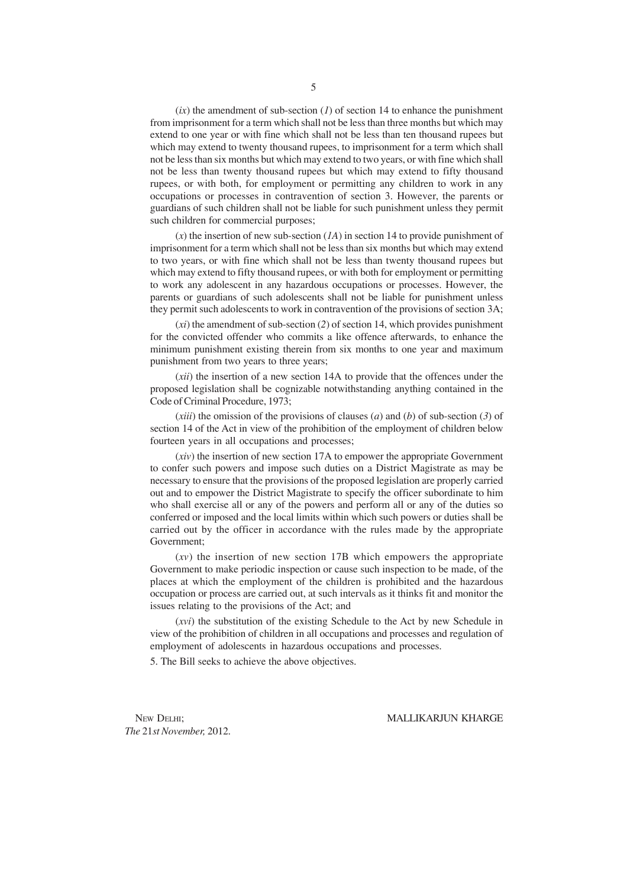$(ix)$  the amendment of sub-section  $(1)$  of section 14 to enhance the punishment from imprisonment for a term which shall not be less than three months but which may extend to one year or with fine which shall not be less than ten thousand rupees but which may extend to twenty thousand rupees, to imprisonment for a term which shall not be less than six months but which may extend to two years, or with fine which shall not be less than twenty thousand rupees but which may extend to fifty thousand rupees, or with both, for employment or permitting any children to work in any occupations or processes in contravention of section 3. However, the parents or guardians of such children shall not be liable for such punishment unless they permit such children for commercial purposes;

(*x*) the insertion of new sub-section (*1A*) in section 14 to provide punishment of imprisonment for a term which shall not be less than six months but which may extend to two years, or with fine which shall not be less than twenty thousand rupees but which may extend to fifty thousand rupees, or with both for employment or permitting to work any adolescent in any hazardous occupations or processes. However, the parents or guardians of such adolescents shall not be liable for punishment unless they permit such adolescents to work in contravention of the provisions of section 3A;

(*xi*) the amendment of sub-section (*2*) of section 14, which provides punishment for the convicted offender who commits a like offence afterwards, to enhance the minimum punishment existing therein from six months to one year and maximum punishment from two years to three years;

(*xii*) the insertion of a new section 14A to provide that the offences under the proposed legislation shall be cognizable notwithstanding anything contained in the Code of Criminal Procedure, 1973;

(*xiii*) the omission of the provisions of clauses (*a*) and (*b*) of sub-section (*3*) of section 14 of the Act in view of the prohibition of the employment of children below fourteen years in all occupations and processes;

(*xiv*) the insertion of new section 17A to empower the appropriate Government to confer such powers and impose such duties on a District Magistrate as may be necessary to ensure that the provisions of the proposed legislation are properly carried out and to empower the District Magistrate to specify the officer subordinate to him who shall exercise all or any of the powers and perform all or any of the duties so conferred or imposed and the local limits within which such powers or duties shall be carried out by the officer in accordance with the rules made by the appropriate Government;

(*xv*) the insertion of new section 17B which empowers the appropriate Government to make periodic inspection or cause such inspection to be made, of the places at which the employment of the children is prohibited and the hazardous occupation or process are carried out, at such intervals as it thinks fit and monitor the issues relating to the provisions of the Act; and

(*xvi*) the substitution of the existing Schedule to the Act by new Schedule in view of the prohibition of children in all occupations and processes and regulation of employment of adolescents in hazardous occupations and processes.

5. The Bill seeks to achieve the above objectives.

*The* 21*st November,* 2012.

NEW DELHI; NALLIKARJUN KHARGE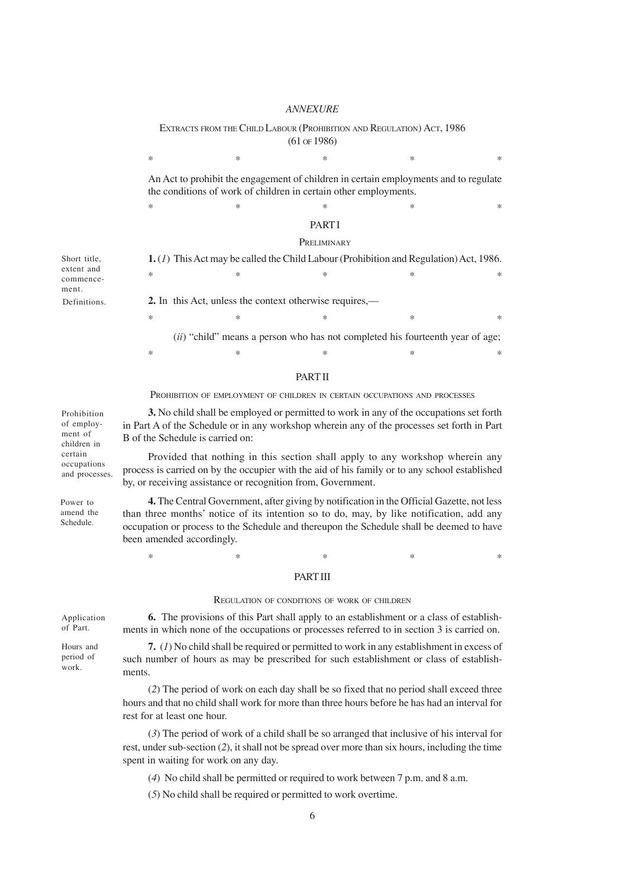## *ANNEXURE*

EXTRACTS FROM THE CHILD LABOUR (PROHIBITION AND REGULATION) ACT, 1986 (61 OF 1986)

An Act to prohibit the engagement of children in certain employments and to regulate the conditions of work of children in certain other employments.

 $*$  \*  $*$  \*  $*$  \*  $*$ 

 $*$  \*  $*$  \*  $*$  \*  $*$  \*

## **PART I**

#### **PRELIMINARY**

| Short title, | <b>1.</b> (1) This Act may be called the Child Labour (Prohibition and Regulation) Act, 1986. |        |   |                                                                                      |        |  |
|--------------|-----------------------------------------------------------------------------------------------|--------|---|--------------------------------------------------------------------------------------|--------|--|
| extent and   | ∗                                                                                             |        | ∗ | ∗                                                                                    | $\ast$ |  |
| commence-    |                                                                                               |        |   |                                                                                      |        |  |
| ment.        |                                                                                               |        |   |                                                                                      |        |  |
| Definitions. | 2. In this Act, unless the context otherwise requires,—                                       |        |   |                                                                                      |        |  |
|              | ∗                                                                                             | $\ast$ | × | ∗                                                                                    | $\ast$ |  |
|              |                                                                                               |        |   | <i>(ii)</i> "child" means a person who has not completed his fourteenth year of age; |        |  |

#### **PART II**

 $*$  \*  $*$  \*  $*$  \*  $*$  \*

PROHIBITION OF EMPLOYMENT OF CHILDREN IN CERTAIN OCCUPATIONS AND PROCESSES

**3.** No child shall be employed or permitted to work in any of the occupations set forth in Part A of the Schedule or in any workshop wherein any of the processes set forth in Part B of the Schedule is carried on:

Provided that nothing in this section shall apply to any workshop wherein any process is carried on by the occupier with the aid of his family or to any school established by, or receiving assistance or recognition from, Government.

**4.** The Central Government, after giving by notification in the Official Gazette, not less than three months' notice of its intention so to do, may, by like notification, add any occupation or process to the Schedule and thereupon the Schedule shall be deemed to have been amended accordingly.

 $*$  \*  $*$  \*  $*$  \*  $*$  \*

### PART III

#### REGULATION OF CONDITIONS OF WORK OF CHILDREN

Application of Part.

**6.** The provisions of this Part shall apply to an establishment or a class of establishments in which none of the occupations or processes referred to in section 3 is carried on.

**7.** (*1*) No child shall be required or permitted to work in any establishment in excess of such number of hours as may be prescribed for such establishment or class of establishments.

(*2*) The period of work on each day shall be so fixed that no period shall exceed three hours and that no child shall work for more than three hours before he has had an interval for rest for at least one hour.

(*3*) The period of work of a child shall be so arranged that inclusive of his interval for rest, under sub-section (*2*), it shall not be spread over more than six hours, including the time spent in waiting for work on any day.

(*4*) No child shall be permitted or required to work between 7 p.m. and 8 a.m.

(*5*) No child shall be required or permitted to work overtime.

6

of employment of children in certain occupations and processes.

Prohibition

Power to amend the Schedule.

Hours and period of

work.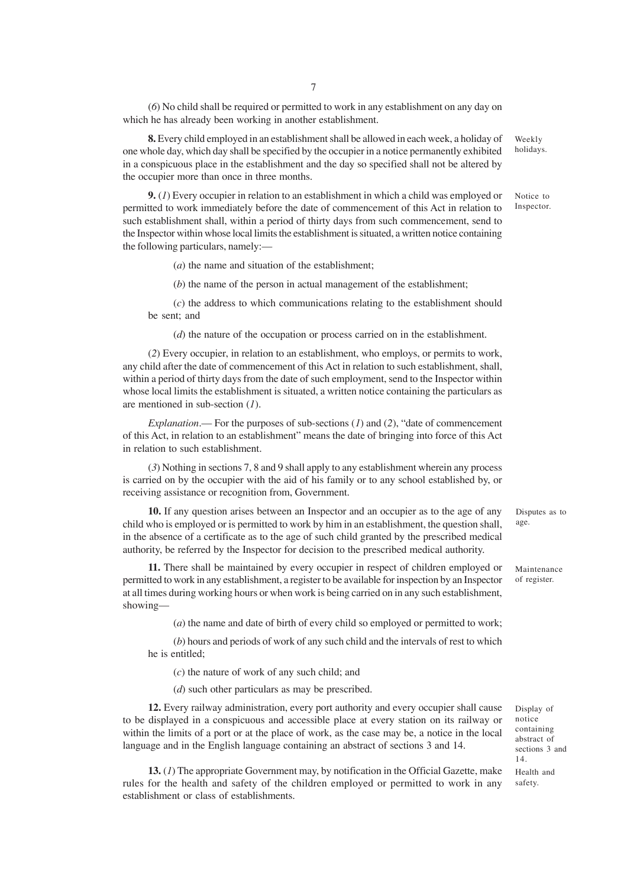(*6*) No child shall be required or permitted to work in any establishment on any day on which he has already been working in another establishment.

**8.** Every child employed in an establishment shall be allowed in each week, a holiday of one whole day, which day shall be specified by the occupier in a notice permanently exhibited in a conspicuous place in the establishment and the day so specified shall not be altered by the occupier more than once in three months. Weekly holidays.

**9.** (*1*) Every occupier in relation to an establishment in which a child was employed or permitted to work immediately before the date of commencement of this Act in relation to such establishment shall, within a period of thirty days from such commencement, send to the Inspector within whose local limits the establishment is situated, a written notice containing the following particulars, namely:—

(*a*) the name and situation of the establishment;

(*b*) the name of the person in actual management of the establishment;

(*c*) the address to which communications relating to the establishment should be sent; and

(*d*) the nature of the occupation or process carried on in the establishment.

(*2*) Every occupier, in relation to an establishment, who employs, or permits to work, any child after the date of commencement of this Act in relation to such establishment, shall, within a period of thirty days from the date of such employment, send to the Inspector within whose local limits the establishment is situated, a written notice containing the particulars as are mentioned in sub-section (*1*).

*Explanation*.— For the purposes of sub-sections (*1*) and (*2*), "date of commencement of this Act, in relation to an establishment" means the date of bringing into force of this Act in relation to such establishment.

(*3*) Nothing in sections 7, 8 and 9 shall apply to any establishment wherein any process is carried on by the occupier with the aid of his family or to any school established by, or receiving assistance or recognition from, Government.

**10.** If any question arises between an Inspector and an occupier as to the age of any child who is employed or is permitted to work by him in an establishment, the question shall, in the absence of a certificate as to the age of such child granted by the prescribed medical authority, be referred by the Inspector for decision to the prescribed medical authority.

**11.** There shall be maintained by every occupier in respect of children employed or permitted to work in any establishment, a register to be available for inspection by an Inspector at all times during working hours or when work is being carried on in any such establishment, showing—

(*a*) the name and date of birth of every child so employed or permitted to work;

(*b*) hours and periods of work of any such child and the intervals of rest to which he is entitled;

(*c*) the nature of work of any such child; and

(*d*) such other particulars as may be prescribed.

**12.** Every railway administration, every port authority and every occupier shall cause to be displayed in a conspicuous and accessible place at every station on its railway or within the limits of a port or at the place of work, as the case may be, a notice in the local language and in the English language containing an abstract of sections 3 and 14.

**13.** (*1*) The appropriate Government may, by notification in the Official Gazette, make rules for the health and safety of the children employed or permitted to work in any establishment or class of establishments.

Disputes as to age.

Maintenance of register.

Notice to

Inspector.

Display of notice containing abstract of sections 3 and 14. Health and safety.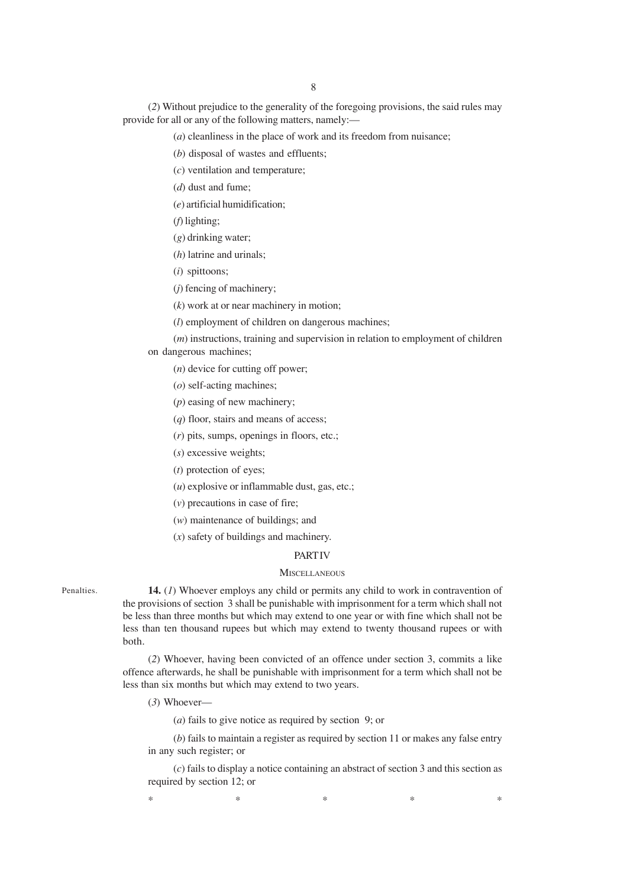(*2*) Without prejudice to the generality of the foregoing provisions, the said rules may provide for all or any of the following matters, namely:—

(*a*) cleanliness in the place of work and its freedom from nuisance;

(*b*) disposal of wastes and effluents;

(*c*) ventilation and temperature;

(*d*) dust and fume;

(*e*) artificial humidification;

(*f*) lighting;

(*g*) drinking water;

(*h*) latrine and urinals;

(*i*) spittoons;

(*j*) fencing of machinery;

(*k*) work at or near machinery in motion;

(*l*) employment of children on dangerous machines;

(*m*) instructions, training and supervision in relation to employment of children on dangerous machines;

(*n*) device for cutting off power;

(*o*) self-acting machines;

(*p*) easing of new machinery;

(*q*) floor, stairs and means of access;

(*r*) pits, sumps, openings in floors, etc.;

(*s*) excessive weights;

(*t*) protection of eyes;

(*u*) explosive or inflammable dust, gas, etc.;

(*v*) precautions in case of fire;

(*w*) maintenance of buildings; and

(*x*) safety of buildings and machinery.

#### **PART IV**

## **MISCELLANEOUS**

Penalties.

**14.** (*1*) Whoever employs any child or permits any child to work in contravention of the provisions of section 3 shall be punishable with imprisonment for a term which shall not be less than three months but which may extend to one year or with fine which shall not be less than ten thousand rupees but which may extend to twenty thousand rupees or with both.

(*2*) Whoever, having been convicted of an offence under section 3, commits a like offence afterwards, he shall be punishable with imprisonment for a term which shall not be less than six months but which may extend to two years.

(*3*) Whoever—

(*a*) fails to give notice as required by section 9; or

(*b*) fails to maintain a register as required by section 11 or makes any false entry in any such register; or

(*c*) fails to display a notice containing an abstract of section 3 and this section as required by section 12; or

 $*$  \*  $*$  \*  $*$  \*  $*$  \*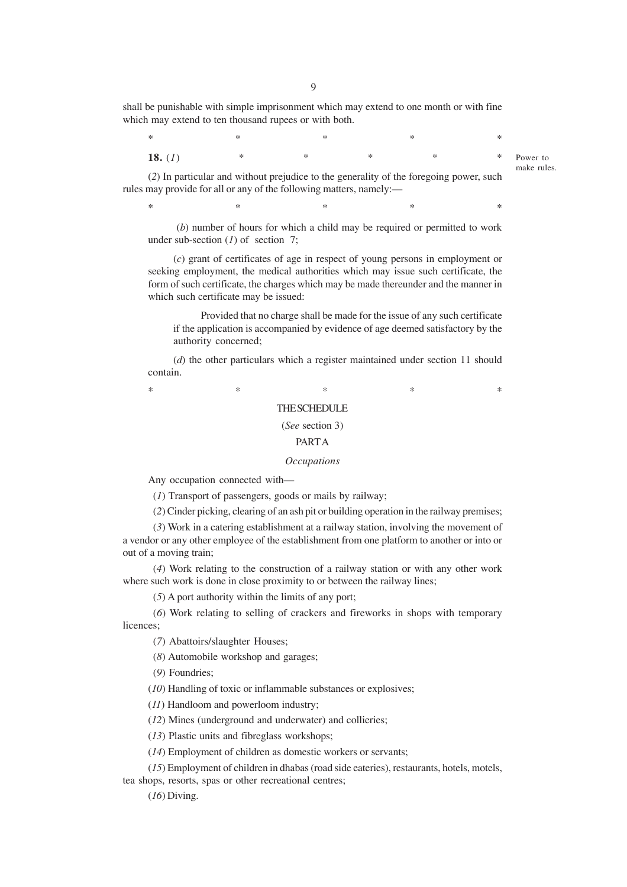shall be punishable with simple imprisonment which may extend to one month or with fine which may extend to ten thousand rupees or with both.

 $*$  \*  $*$  \*  $*$  \*  $*$  \* **18.** (*1*) \* \* \* \* \* \*

Power to make rules.

(*2*) In particular and without prejudice to the generality of the foregoing power, such rules may provide for all or any of the following matters, namely:—

 $*$  \*  $*$  \*  $*$  \*  $*$  \*

 (*b*) number of hours for which a child may be required or permitted to work under sub-section (*1*) of section 7;

(*c*) grant of certificates of age in respect of young persons in employment or seeking employment, the medical authorities which may issue such certificate, the form of such certificate, the charges which may be made thereunder and the manner in which such certificate may be issued:

 Provided that no charge shall be made for the issue of any such certificate if the application is accompanied by evidence of age deemed satisfactory by the authority concerned;

(*d*) the other particulars which a register maintained under section 11 should contain.

 $*$  \*  $*$  \*  $*$  \*  $*$  \*

## THE SCHEDULE

#### (*See* section 3)

### PART A

### *Occupations*

Any occupation connected with—

(*1*) Transport of passengers, goods or mails by railway;

(*2*) Cinder picking, clearing of an ash pit or building operation in the railway premises;

(*3*) Work in a catering establishment at a railway station, involving the movement of a vendor or any other employee of the establishment from one platform to another or into or out of a moving train;

(*4*) Work relating to the construction of a railway station or with any other work where such work is done in close proximity to or between the railway lines;

(*5*) A port authority within the limits of any port;

(*6*) Work relating to selling of crackers and fireworks in shops with temporary licences;

(*7*) Abattoirs/slaughter Houses;

(*8*) Automobile workshop and garages;

(*9*) Foundries;

(*10*) Handling of toxic or inflammable substances or explosives;

(*11*) Handloom and powerloom industry;

(*12*) Mines (underground and underwater) and collieries;

(*13*) Plastic units and fibreglass workshops;

(*14*) Employment of children as domestic workers or servants;

(*15*) Employment of children in dhabas (road side eateries), restaurants, hotels, motels,

tea shops, resorts, spas or other recreational centres;

(*16*) Diving.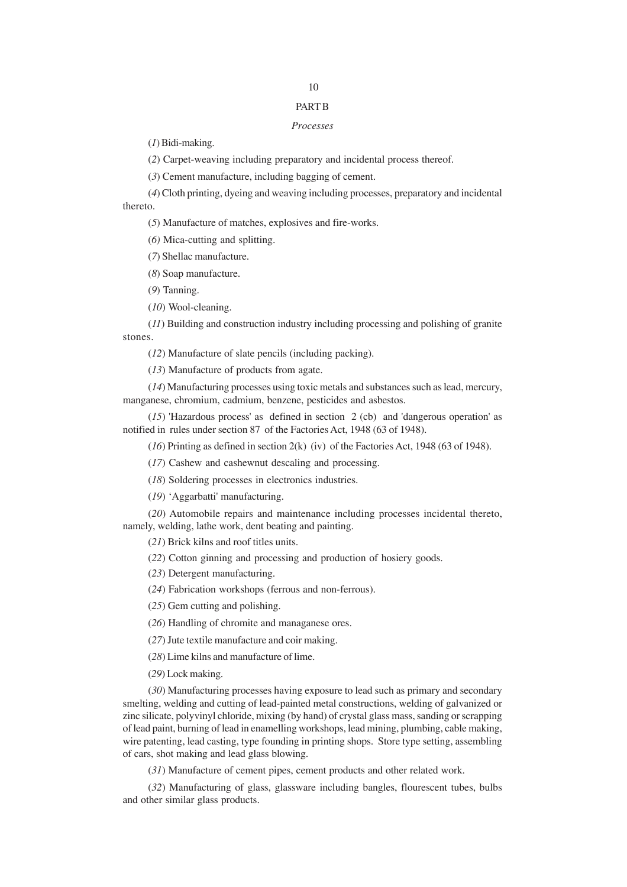# 10

# PART B

## *Processes*

(*1*) Bidi-making.

(*2*) Carpet-weaving including preparatory and incidental process thereof.

(*3*) Cement manufacture, including bagging of cement.

(*4*) Cloth printing, dyeing and weaving including processes, preparatory and incidental thereto.

(*5*) Manufacture of matches, explosives and fire-works.

(*6)* Mica-cutting and splitting.

(*7*) Shellac manufacture.

(*8*) Soap manufacture.

(*9*) Tanning.

(*10*) Wool-cleaning.

(*11*) Building and construction industry including processing and polishing of granite stones.

(*12*) Manufacture of slate pencils (including packing).

(*13*) Manufacture of products from agate.

(*14*) Manufacturing processes using toxic metals and substances such as lead, mercury, manganese, chromium, cadmium, benzene, pesticides and asbestos.

(*15*) 'Hazardous process' as defined in section 2 (cb) and 'dangerous operation' as notified in rules under section 87 of the Factories Act, 1948 (63 of 1948).

(*16*) Printing as defined in section 2(k) (iv) of the Factories Act, 1948 (63 of 1948).

(*17*) Cashew and cashewnut descaling and processing.

(*18*) Soldering processes in electronics industries.

(*19*) 'Aggarbatti' manufacturing.

(*20*) Automobile repairs and maintenance including processes incidental thereto, namely, welding, lathe work, dent beating and painting.

(*21*) Brick kilns and roof titles units.

(*22*) Cotton ginning and processing and production of hosiery goods.

(*23*) Detergent manufacturing.

(*24*) Fabrication workshops (ferrous and non-ferrous).

(*25*) Gem cutting and polishing.

(*26*) Handling of chromite and managanese ores.

(*27*) Jute textile manufacture and coir making.

(*28*) Lime kilns and manufacture of lime.

(*29*) Lock making.

(*30*) Manufacturing processes having exposure to lead such as primary and secondary smelting, welding and cutting of lead-painted metal constructions, welding of galvanized or zinc silicate, polyvinyl chloride, mixing (by hand) of crystal glass mass, sanding or scrapping of lead paint, burning of lead in enamelling workshops, lead mining, plumbing, cable making, wire patenting, lead casting, type founding in printing shops. Store type setting, assembling of cars, shot making and lead glass blowing.

(*31*) Manufacture of cement pipes, cement products and other related work.

(*32*) Manufacturing of glass, glassware including bangles, flourescent tubes, bulbs and other similar glass products.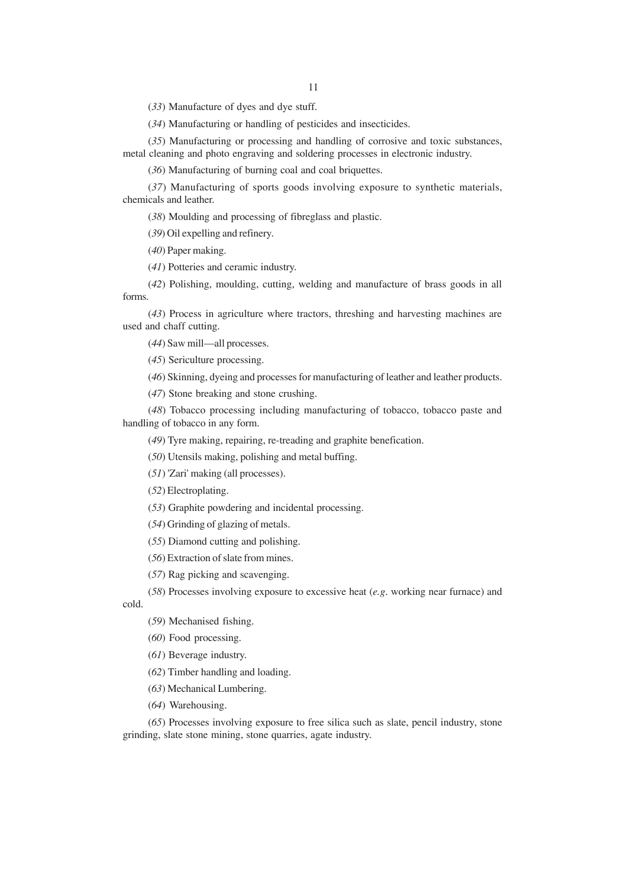(*33*) Manufacture of dyes and dye stuff.

(*34*) Manufacturing or handling of pesticides and insecticides.

(*35*) Manufacturing or processing and handling of corrosive and toxic substances, metal cleaning and photo engraving and soldering processes in electronic industry.

(*36*) Manufacturing of burning coal and coal briquettes.

(*37*) Manufacturing of sports goods involving exposure to synthetic materials, chemicals and leather.

(*38*) Moulding and processing of fibreglass and plastic.

(*39*) Oil expelling and refinery.

(*40*) Paper making.

(*41*) Potteries and ceramic industry.

(*42*) Polishing, moulding, cutting, welding and manufacture of brass goods in all forms.

(*43*) Process in agriculture where tractors, threshing and harvesting machines are used and chaff cutting.

(*44*) Saw mill—all processes.

(*45*) Sericulture processing.

(*46*) Skinning, dyeing and processes for manufacturing of leather and leather products.

(*47*) Stone breaking and stone crushing.

(*48*) Tobacco processing including manufacturing of tobacco, tobacco paste and handling of tobacco in any form.

(*49*) Tyre making, repairing, re-treading and graphite benefication.

(*50*) Utensils making, polishing and metal buffing.

(*51*) 'Zari' making (all processes).

(*52*) Electroplating.

(*53*) Graphite powdering and incidental processing.

(*54*) Grinding of glazing of metals.

(*55*) Diamond cutting and polishing.

(*56*) Extraction of slate from mines.

(*57*) Rag picking and scavenging.

(*58*) Processes involving exposure to excessive heat (*e.g*. working near furnace) and

cold.

(*59*) Mechanised fishing.

(*60*) Food processing.

(*61*) Beverage industry.

(*62*) Timber handling and loading.

(*63*) Mechanical Lumbering.

(*64*) Warehousing.

(*65*) Processes involving exposure to free silica such as slate, pencil industry, stone grinding, slate stone mining, stone quarries, agate industry.